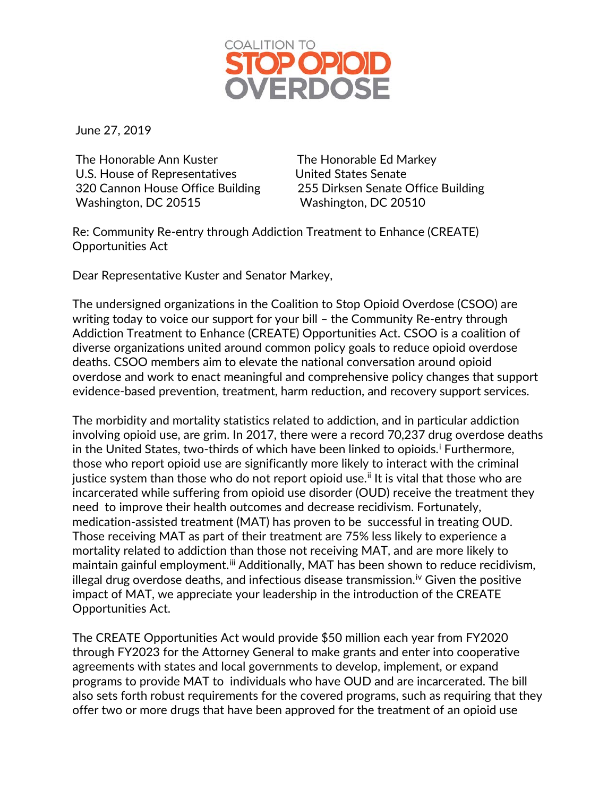

June 27, 2019

The Honorable Ann Kuster The Honorable Ed Markey U.S. House of Representatives United States Senate Washington, DC 20515 Washington, DC 20510

320 Cannon House Office Building 255 Dirksen Senate Office Building

Re: Community Re-entry through Addiction Treatment to Enhance (CREATE) Opportunities Act

Dear Representative Kuster and Senator Markey,

The undersigned organizations in the Coalition to Stop Opioid Overdose (CSOO) are writing today to voice our support for your bill – the Community Re-entry through Addiction Treatment to Enhance (CREATE) Opportunities Act. CSOO is a coalition of diverse organizations united around common policy goals to reduce opioid overdose deaths. CSOO members aim to elevate the national conversation around opioid overdose and work to enact meaningful and comprehensive policy changes that support evidence-based prevention, treatment, harm reduction, and recovery support services.

The morbidity and mortality statistics related to addiction, and in particular addiction involving opioid use, are grim. In 2017, there were a record 70,237 drug overdose deaths [i](#page-1-0)n the United States, two-thirds of which have been linked to opioids.<sup>i</sup> Furthermore, those who report opioid use are significantly more likely to interact with the criminal justice system than those who do not report opioid use.<sup>[ii](#page-2-0)</sup> It is vital that those who are incarcerated while suffering from opioid use disorder (OUD) receive the treatment they need to improve their health outcomes and decrease recidivism. Fortunately, medication-assisted treatment (MAT) has proven to be successful in treating OUD. Those receiving MAT as part of their treatment are 75% less likely to experience a mortality related to addiction than those not receiving MAT, and are more likely to maintain gainful employment.<sup>[iii](#page-2-1)</sup> Additionally, MAT has been shown to reduce recidivism, illegal drug overdose deaths, and infectious disease transmission.<sup>[iv](#page-2-2)</sup> Given the positive impact of MAT, we appreciate your leadership in the introduction of the CREATE Opportunities Act.

The CREATE Opportunities Act would provide \$50 million each year from FY2020 through FY2023 for the Attorney General to make grants and enter into cooperative agreements with states and local governments to develop, implement, or expand programs to provide MAT to individuals who have OUD and are incarcerated. The bill also sets forth robust requirements for the covered programs, such as requiring that they offer two or more drugs that have been approved for the treatment of an opioid use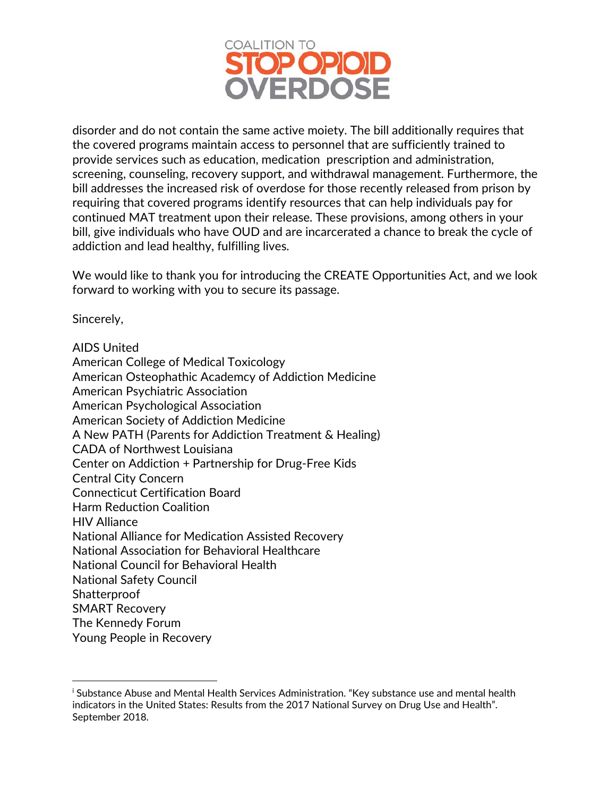

disorder and do not contain the same active moiety. The bill additionally requires that the covered programs maintain access to personnel that are sufficiently trained to provide services such as education, medication prescription and administration, screening, counseling, recovery support, and withdrawal management. Furthermore, the bill addresses the increased risk of overdose for those recently released from prison by requiring that covered programs identify resources that can help individuals pay for continued MAT treatment upon their release. These provisions, among others in your bill, give individuals who have OUD and are incarcerated a chance to break the cycle of addiction and lead healthy, fulfilling lives.

We would like to thank you for introducing the CREATE Opportunities Act, and we look forward to working with you to secure its passage.

Sincerely,

 $\overline{a}$ 

AIDS United

American College of Medical Toxicology American Osteophathic Academcy of Addiction Medicine American Psychiatric Association American Psychological Association American Society of Addiction Medicine A New PATH (Parents for Addiction Treatment & Healing) CADA of Northwest Louisiana Center on Addiction + Partnership for Drug-Free Kids Central City Concern Connecticut Certification Board Harm Reduction Coalition HIV Alliance National Alliance for Medication Assisted Recovery National Association for Behavioral Healthcare National Council for Behavioral Health National Safety Council **Shatterproof** SMART Recovery The Kennedy Forum Young People in Recovery

<span id="page-1-0"></span><sup>&</sup>lt;sup>i</sup> Substance Abuse and Mental Health Services Administration. "Key substance use and mental health indicators in the United States: Results from the 2017 National Survey on Drug Use and Health". September 2018.